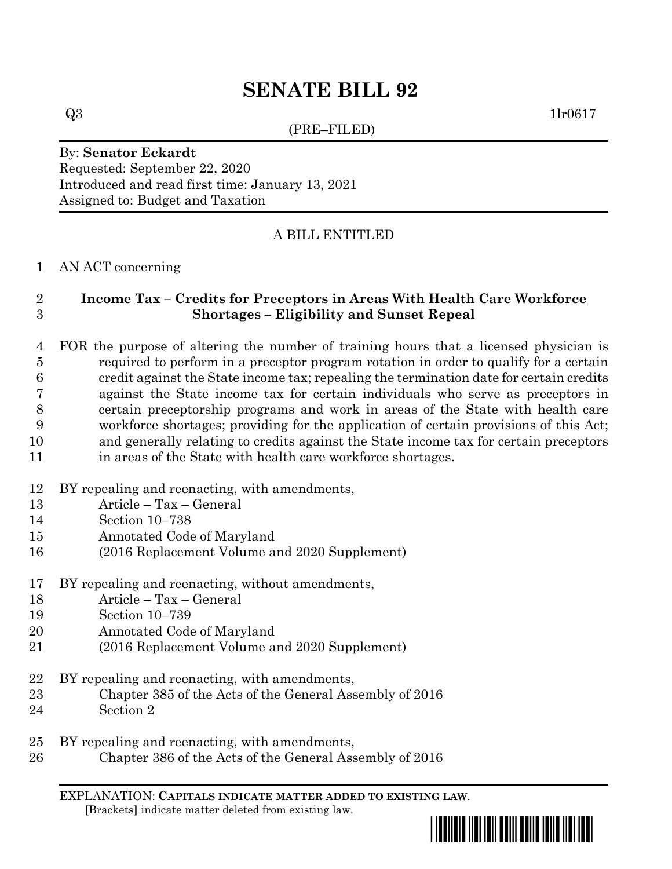# **SENATE BILL 92**

(PRE–FILED)

 $Q3$  1lr0617

## By: **Senator Eckardt** Requested: September 22, 2020 Introduced and read first time: January 13, 2021 Assigned to: Budget and Taxation

# A BILL ENTITLED

## AN ACT concerning

# **Income Tax – Credits for Preceptors in Areas With Health Care Workforce Shortages – Eligibility and Sunset Repeal**

 FOR the purpose of altering the number of training hours that a licensed physician is required to perform in a preceptor program rotation in order to qualify for a certain credit against the State income tax; repealing the termination date for certain credits against the State income tax for certain individuals who serve as preceptors in certain preceptorship programs and work in areas of the State with health care workforce shortages; providing for the application of certain provisions of this Act; and generally relating to credits against the State income tax for certain preceptors in areas of the State with health care workforce shortages.

- BY repealing and reenacting, with amendments,
- Article Tax General
- Section 10–738
- Annotated Code of Maryland
- (2016 Replacement Volume and 2020 Supplement)
- BY repealing and reenacting, without amendments,
- Article Tax General
- Section 10–739
- Annotated Code of Maryland
- (2016 Replacement Volume and 2020 Supplement)
- BY repealing and reenacting, with amendments,
- Chapter 385 of the Acts of the General Assembly of 2016
- Section 2
- BY repealing and reenacting, with amendments,
- Chapter 386 of the Acts of the General Assembly of 2016

EXPLANATION: **CAPITALS INDICATE MATTER ADDED TO EXISTING LAW**.  **[**Brackets**]** indicate matter deleted from existing law.

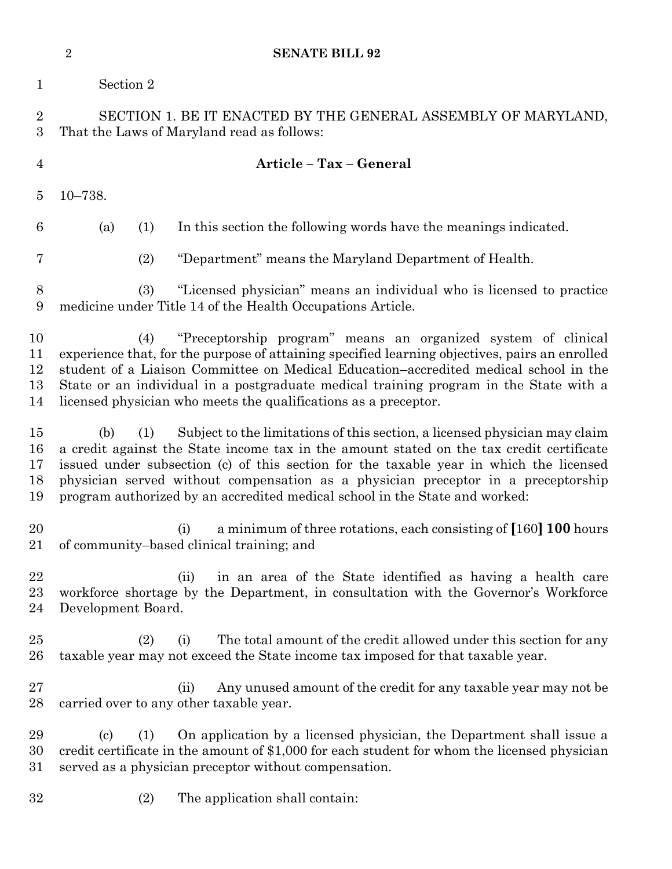|                                | $\overline{2}$                    | <b>SENATE BILL 92</b>                                                                                                                                                                                                                                                                                                                                                                                                                |
|--------------------------------|-----------------------------------|--------------------------------------------------------------------------------------------------------------------------------------------------------------------------------------------------------------------------------------------------------------------------------------------------------------------------------------------------------------------------------------------------------------------------------------|
| $\mathbf{1}$                   | Section 2                         |                                                                                                                                                                                                                                                                                                                                                                                                                                      |
| $\overline{2}$<br>3            |                                   | SECTION 1. BE IT ENACTED BY THE GENERAL ASSEMBLY OF MARYLAND,<br>That the Laws of Maryland read as follows:                                                                                                                                                                                                                                                                                                                          |
| $\overline{4}$                 |                                   | Article - Tax - General                                                                                                                                                                                                                                                                                                                                                                                                              |
| 5                              | $10 - 738.$                       |                                                                                                                                                                                                                                                                                                                                                                                                                                      |
| 6                              | (a)<br>(1)                        | In this section the following words have the meanings indicated.                                                                                                                                                                                                                                                                                                                                                                     |
| 7                              | (2)                               | "Department" means the Maryland Department of Health.                                                                                                                                                                                                                                                                                                                                                                                |
| 8<br>9                         | (3)                               | "Licensed physician" means an individual who is licensed to practice<br>medicine under Title 14 of the Health Occupations Article.                                                                                                                                                                                                                                                                                                   |
| 10<br>11<br>12<br>13<br>14     | (4)                               | "Preceptorship program" means an organized system of clinical<br>experience that, for the purpose of attaining specified learning objectives, pairs an enrolled<br>student of a Liaison Committee on Medical Education-accredited medical school in the<br>State or an individual in a postgraduate medical training program in the State with a<br>licensed physician who meets the qualifications as a preceptor.                  |
| $15\,$<br>16<br>17<br>18<br>19 | (b)<br>(1)                        | Subject to the limitations of this section, a licensed physician may claim<br>a credit against the State income tax in the amount stated on the tax credit certificate<br>issued under subsection (c) of this section for the taxable year in which the licensed<br>physician served without compensation as a physician preceptor in a preceptorship<br>program authorized by an accredited medical school in the State and worked: |
| 20<br>21                       |                                   | a minimum of three rotations, each consisting of [160] 100 hours<br>(i)<br>of community-based clinical training; and                                                                                                                                                                                                                                                                                                                 |
| 22<br>$23\,$<br>24             | Development Board.                | in an area of the State identified as having a health care<br>(ii)<br>workforce shortage by the Department, in consultation with the Governor's Workforce                                                                                                                                                                                                                                                                            |
| 25<br>$26\,$                   | (2)                               | The total amount of the credit allowed under this section for any<br>(i)<br>taxable year may not exceed the State income tax imposed for that taxable year.                                                                                                                                                                                                                                                                          |
| 27<br>$^{28}$                  |                                   | Any unused amount of the credit for any taxable year may not be<br>(ii)<br>carried over to any other taxable year.                                                                                                                                                                                                                                                                                                                   |
| 29<br>30<br>$31\,$             | $\left( \mathrm{c}\right)$<br>(1) | On application by a licensed physician, the Department shall issue a<br>credit certificate in the amount of \$1,000 for each student for whom the licensed physician<br>served as a physician preceptor without compensation.                                                                                                                                                                                                        |
| 32                             | (2)                               | The application shall contain:                                                                                                                                                                                                                                                                                                                                                                                                       |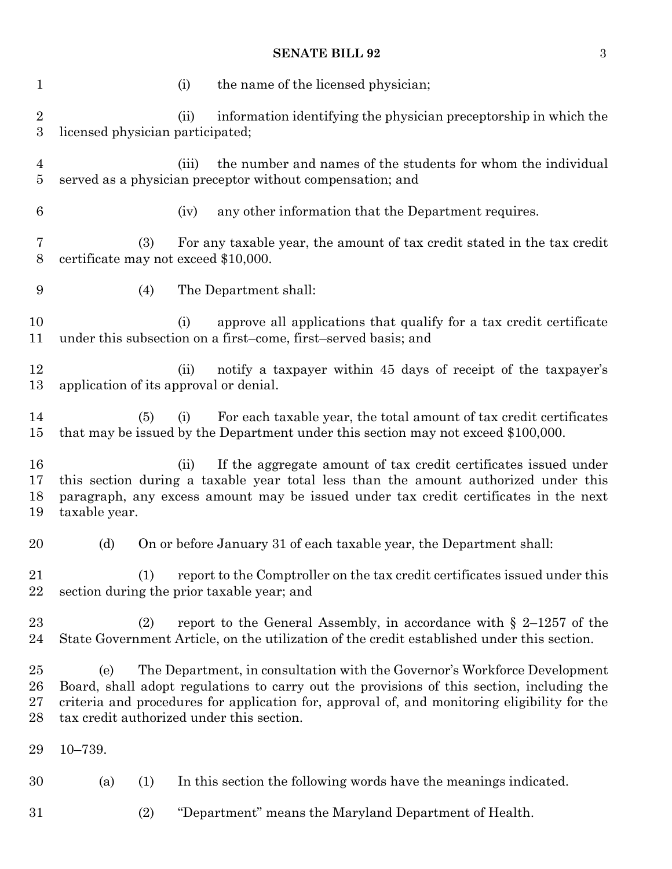# **SENATE BILL 92** 3

| 1                                    |                                                   | (i)   | the name of the licensed physician;                                                                                                                                                                                                                                    |
|--------------------------------------|---------------------------------------------------|-------|------------------------------------------------------------------------------------------------------------------------------------------------------------------------------------------------------------------------------------------------------------------------|
| $\boldsymbol{2}$<br>$\boldsymbol{3}$ | licensed physician participated;                  | (ii)  | information identifying the physician preceptorship in which the                                                                                                                                                                                                       |
| $\overline{4}$<br>5                  |                                                   | (iii) | the number and names of the students for whom the individual<br>served as a physician preceptor without compensation; and                                                                                                                                              |
| $6\phantom{.}6$                      |                                                   | (iv)  | any other information that the Department requires.                                                                                                                                                                                                                    |
| 7<br>$8\,$                           | (3)<br>certificate may not exceed \$10,000.       |       | For any taxable year, the amount of tax credit stated in the tax credit                                                                                                                                                                                                |
| 9                                    | (4)                                               |       | The Department shall:                                                                                                                                                                                                                                                  |
| 10<br>11                             |                                                   | (i)   | approve all applications that qualify for a tax credit certificate<br>under this subsection on a first-come, first-served basis; and                                                                                                                                   |
| 12<br>13                             | application of its approval or denial.            | (ii)  | notify a taxpayer within 45 days of receipt of the taxpayer's                                                                                                                                                                                                          |
| 14<br>15                             | (5)                                               | (i)   | For each taxable year, the total amount of tax credit certificates<br>that may be issued by the Department under this section may not exceed \$100,000.                                                                                                                |
| 16<br>17<br>18<br>19                 | taxable year.                                     | (ii)  | If the aggregate amount of tax credit certificates issued under<br>this section during a taxable year total less than the amount authorized under this<br>paragraph, any excess amount may be issued under tax credit certificates in the next                         |
| 20                                   | (d)                                               |       | On or before January 31 of each taxable year, the Department shall:                                                                                                                                                                                                    |
| 21<br>22                             | (1)<br>section during the prior taxable year; and |       | report to the Comptroller on the tax credit certificates issued under this                                                                                                                                                                                             |
| 23<br>24                             | (2)                                               |       | report to the General Assembly, in accordance with $\S$ 2–1257 of the<br>State Government Article, on the utilization of the credit established under this section.                                                                                                    |
| 25<br>26<br>27<br>28                 | (e)<br>tax credit authorized under this section.  |       | The Department, in consultation with the Governor's Workforce Development<br>Board, shall adopt regulations to carry out the provisions of this section, including the<br>criteria and procedures for application for, approval of, and monitoring eligibility for the |
| 29                                   | $10 - 739.$                                       |       |                                                                                                                                                                                                                                                                        |
| 30                                   | (a)<br>(1)                                        |       | In this section the following words have the meanings indicated.                                                                                                                                                                                                       |
| 31                                   | (2)                                               |       | "Department" means the Maryland Department of Health.                                                                                                                                                                                                                  |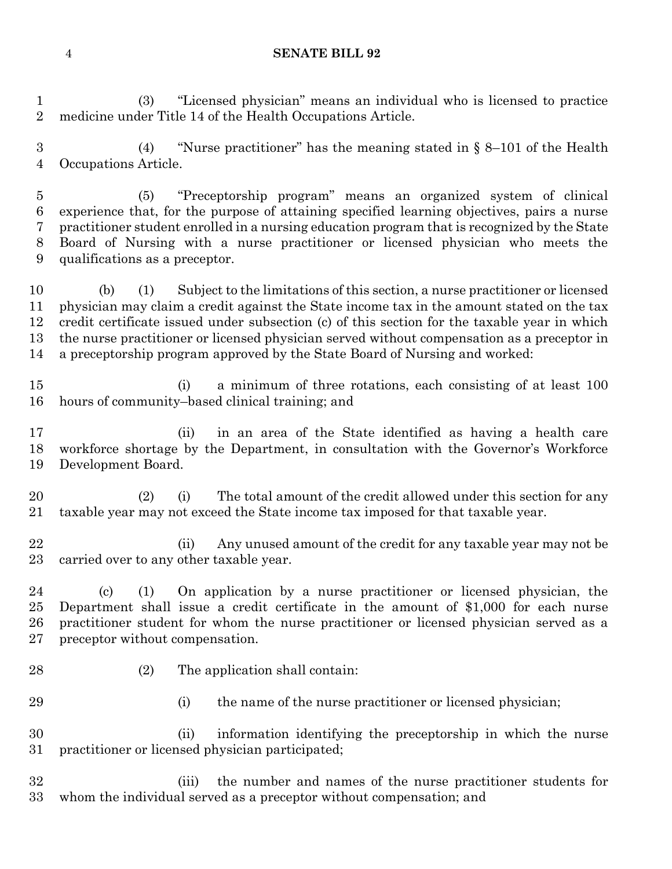#### **SENATE BILL 92**

 (3) "Licensed physician" means an individual who is licensed to practice medicine under Title 14 of the Health Occupations Article.

 (4) "Nurse practitioner" has the meaning stated in § 8–101 of the Health Occupations Article.

 (5) "Preceptorship program" means an organized system of clinical experience that, for the purpose of attaining specified learning objectives, pairs a nurse practitioner student enrolled in a nursing education program that is recognized by the State Board of Nursing with a nurse practitioner or licensed physician who meets the qualifications as a preceptor.

 (b) (1) Subject to the limitations of this section, a nurse practitioner or licensed physician may claim a credit against the State income tax in the amount stated on the tax credit certificate issued under subsection (c) of this section for the taxable year in which the nurse practitioner or licensed physician served without compensation as a preceptor in a preceptorship program approved by the State Board of Nursing and worked:

- (i) a minimum of three rotations, each consisting of at least 100 hours of community–based clinical training; and
- (ii) in an area of the State identified as having a health care workforce shortage by the Department, in consultation with the Governor's Workforce Development Board.
- 20 (2) (i) The total amount of the credit allowed under this section for any taxable year may not exceed the State income tax imposed for that taxable year.
- (ii) Any unused amount of the credit for any taxable year may not be carried over to any other taxable year.

 (c) (1) On application by a nurse practitioner or licensed physician, the Department shall issue a credit certificate in the amount of \$1,000 for each nurse practitioner student for whom the nurse practitioner or licensed physician served as a preceptor without compensation.

- 
- 28 (2) The application shall contain:
- 
- 29 (i) the name of the nurse practitioner or licensed physician;

 (ii) information identifying the preceptorship in which the nurse practitioner or licensed physician participated;

 (iii) the number and names of the nurse practitioner students for whom the individual served as a preceptor without compensation; and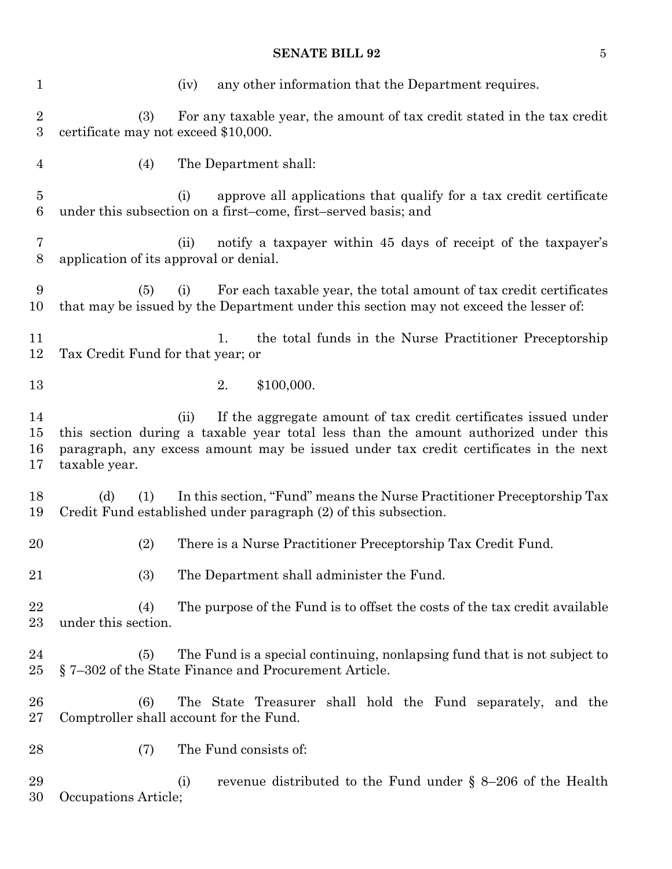# **SENATE BILL 92** 5

| $\mathbf{1}$                       | any other information that the Department requires.<br>(iv)                                                                                                                                                                                                             |
|------------------------------------|-------------------------------------------------------------------------------------------------------------------------------------------------------------------------------------------------------------------------------------------------------------------------|
| $\overline{2}$<br>$\overline{3}$   | (3)<br>For any taxable year, the amount of tax credit stated in the tax credit<br>certificate may not exceed \$10,000.                                                                                                                                                  |
| $\overline{4}$                     | The Department shall:<br>(4)                                                                                                                                                                                                                                            |
| $\overline{5}$<br>$\boldsymbol{6}$ | approve all applications that qualify for a tax credit certificate<br>(i)<br>under this subsection on a first-come, first-served basis; and                                                                                                                             |
| 7<br>8                             | notify a taxpayer within 45 days of receipt of the taxpayer's<br>(ii)<br>application of its approval or denial.                                                                                                                                                         |
| 9<br>10                            | For each taxable year, the total amount of tax credit certificates<br>(5)<br>(i)<br>that may be issued by the Department under this section may not exceed the lesser of:                                                                                               |
| 11<br>12                           | the total funds in the Nurse Practitioner Preceptorship<br>1.<br>Tax Credit Fund for that year; or                                                                                                                                                                      |
| 13                                 | \$100,000.<br>2.                                                                                                                                                                                                                                                        |
| 14<br>15<br>16<br>17               | If the aggregate amount of tax credit certificates issued under<br>(ii)<br>this section during a taxable year total less than the amount authorized under this<br>paragraph, any excess amount may be issued under tax credit certificates in the next<br>taxable year. |
| 18<br>19                           | (d)<br>(1)<br>In this section, "Fund" means the Nurse Practitioner Preceptorship Tax<br>Credit Fund established under paragraph (2) of this subsection.                                                                                                                 |
| 20                                 | There is a Nurse Practitioner Preceptorship Tax Credit Fund.<br>(2)                                                                                                                                                                                                     |
| 21                                 | The Department shall administer the Fund.<br>(3)                                                                                                                                                                                                                        |
| 22<br>23                           | The purpose of the Fund is to offset the costs of the tax credit available<br>(4)<br>under this section.                                                                                                                                                                |
| 24<br>25                           | The Fund is a special continuing, nonlapsing fund that is not subject to<br>(5)<br>$\S$ 7–302 of the State Finance and Procurement Article.                                                                                                                             |
| 26<br>27                           | The State Treasurer shall hold the Fund separately, and the<br>(6)<br>Comptroller shall account for the Fund.                                                                                                                                                           |
| 28                                 | The Fund consists of:<br>(7)                                                                                                                                                                                                                                            |
| 29<br>30                           | revenue distributed to the Fund under $\S$ 8-206 of the Health<br>(i)<br>Occupations Article;                                                                                                                                                                           |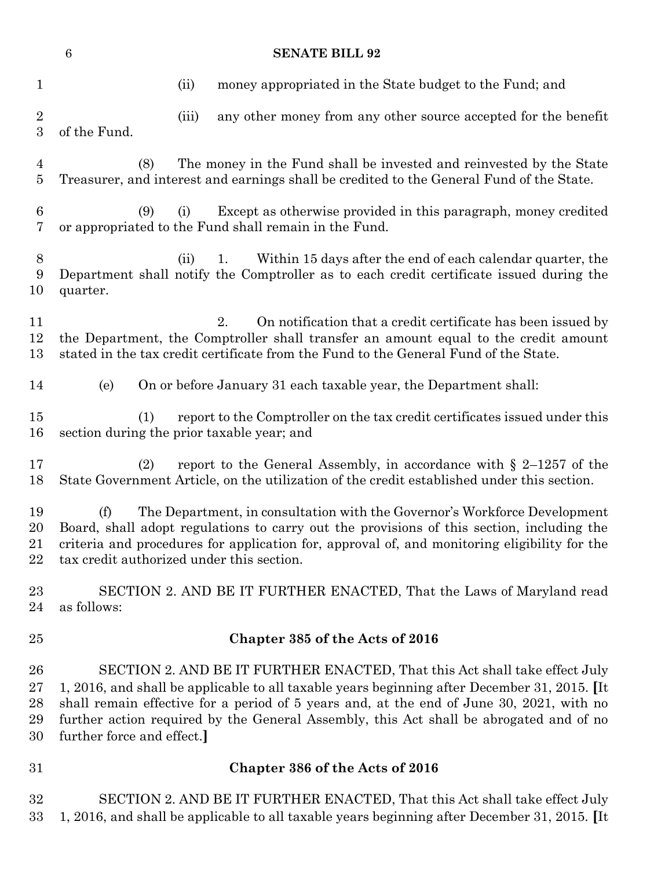| $\,6\,$<br><b>SENATE BILL 92</b>     |                                                                                                                                                                                                                                                                                                                                                                                                |  |  |  |  |
|--------------------------------------|------------------------------------------------------------------------------------------------------------------------------------------------------------------------------------------------------------------------------------------------------------------------------------------------------------------------------------------------------------------------------------------------|--|--|--|--|
| $\mathbf{1}$                         | money appropriated in the State budget to the Fund; and<br>(ii)                                                                                                                                                                                                                                                                                                                                |  |  |  |  |
| $\boldsymbol{2}$<br>$\boldsymbol{3}$ | any other money from any other source accepted for the benefit<br>(iii)<br>of the Fund.                                                                                                                                                                                                                                                                                                        |  |  |  |  |
| $\overline{4}$<br>$\overline{5}$     | The money in the Fund shall be invested and reinvested by the State<br>(8)<br>Treasurer, and interest and earnings shall be credited to the General Fund of the State.                                                                                                                                                                                                                         |  |  |  |  |
| $\boldsymbol{6}$<br>$\overline{7}$   | Except as otherwise provided in this paragraph, money credited<br>(9)<br>(i)<br>or appropriated to the Fund shall remain in the Fund.                                                                                                                                                                                                                                                          |  |  |  |  |
| $8\,$<br>9<br>10                     | Within 15 days after the end of each calendar quarter, the<br>1.<br>(ii)<br>Department shall notify the Comptroller as to each credit certificate issued during the<br>quarter.                                                                                                                                                                                                                |  |  |  |  |
| 11<br>12<br>13                       | 2.<br>On notification that a credit certificate has been issued by<br>the Department, the Comptroller shall transfer an amount equal to the credit amount<br>stated in the tax credit certificate from the Fund to the General Fund of the State.                                                                                                                                              |  |  |  |  |
| 14                                   | On or before January 31 each taxable year, the Department shall:<br>(e)                                                                                                                                                                                                                                                                                                                        |  |  |  |  |
| 15<br>16                             | report to the Comptroller on the tax credit certificates issued under this<br>(1)<br>section during the prior taxable year; and                                                                                                                                                                                                                                                                |  |  |  |  |
| 17<br>18                             | report to the General Assembly, in accordance with $\S$ 2-1257 of the<br>(2)<br>State Government Article, on the utilization of the credit established under this section.                                                                                                                                                                                                                     |  |  |  |  |
| 19<br>20<br>21<br>22                 | The Department, in consultation with the Governor's Workforce Development<br>(f)<br>Board, shall adopt regulations to carry out the provisions of this section, including the<br>criteria and procedures for application for, approval of, and monitoring eligibility for the<br>tax credit authorized under this section.                                                                     |  |  |  |  |
| 23<br>24                             | SECTION 2. AND BE IT FURTHER ENACTED, That the Laws of Maryland read<br>as follows:                                                                                                                                                                                                                                                                                                            |  |  |  |  |
| 25                                   | Chapter 385 of the Acts of 2016                                                                                                                                                                                                                                                                                                                                                                |  |  |  |  |
| 26<br>27<br>28<br>29<br>30           | SECTION 2. AND BE IT FURTHER ENACTED, That this Act shall take effect July<br>1, 2016, and shall be applicable to all taxable years beginning after December 31, 2015. [It<br>shall remain effective for a period of 5 years and, at the end of June 30, 2021, with no<br>further action required by the General Assembly, this Act shall be abrogated and of no<br>further force and effect.] |  |  |  |  |
| 31                                   | Chapter 386 of the Acts of 2016                                                                                                                                                                                                                                                                                                                                                                |  |  |  |  |
| 32<br>33                             | SECTION 2. AND BE IT FURTHER ENACTED, That this Act shall take effect July<br>1, 2016, and shall be applicable to all taxable years beginning after December 31, 2015. [It                                                                                                                                                                                                                     |  |  |  |  |